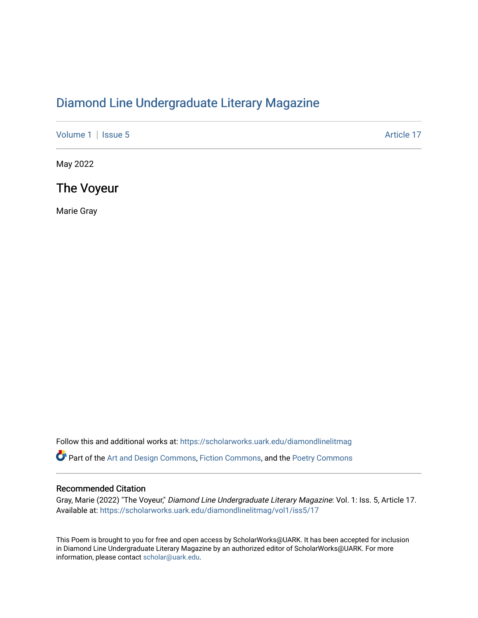## [Diamond Line Undergraduate Literary Magazine](https://scholarworks.uark.edu/diamondlinelitmag)

[Volume 1](https://scholarworks.uark.edu/diamondlinelitmag/vol1) | [Issue 5](https://scholarworks.uark.edu/diamondlinelitmag/vol1/iss5) Article 17

May 2022

The Voyeur

Marie Gray

Follow this and additional works at: [https://scholarworks.uark.edu/diamondlinelitmag](https://scholarworks.uark.edu/diamondlinelitmag?utm_source=scholarworks.uark.edu%2Fdiamondlinelitmag%2Fvol1%2Fiss5%2F17&utm_medium=PDF&utm_campaign=PDFCoverPages) 

Part of the [Art and Design Commons](http://network.bepress.com/hgg/discipline/1049?utm_source=scholarworks.uark.edu%2Fdiamondlinelitmag%2Fvol1%2Fiss5%2F17&utm_medium=PDF&utm_campaign=PDFCoverPages), [Fiction Commons](http://network.bepress.com/hgg/discipline/1151?utm_source=scholarworks.uark.edu%2Fdiamondlinelitmag%2Fvol1%2Fiss5%2F17&utm_medium=PDF&utm_campaign=PDFCoverPages), and the Poetry Commons

## Recommended Citation

Gray, Marie (2022) "The Voyeur," Diamond Line Undergraduate Literary Magazine: Vol. 1: Iss. 5, Article 17. Available at: [https://scholarworks.uark.edu/diamondlinelitmag/vol1/iss5/17](https://scholarworks.uark.edu/diamondlinelitmag/vol1/iss5/17?utm_source=scholarworks.uark.edu%2Fdiamondlinelitmag%2Fvol1%2Fiss5%2F17&utm_medium=PDF&utm_campaign=PDFCoverPages) 

This Poem is brought to you for free and open access by ScholarWorks@UARK. It has been accepted for inclusion in Diamond Line Undergraduate Literary Magazine by an authorized editor of ScholarWorks@UARK. For more information, please contact [scholar@uark.edu.](mailto:scholar@uark.edu)